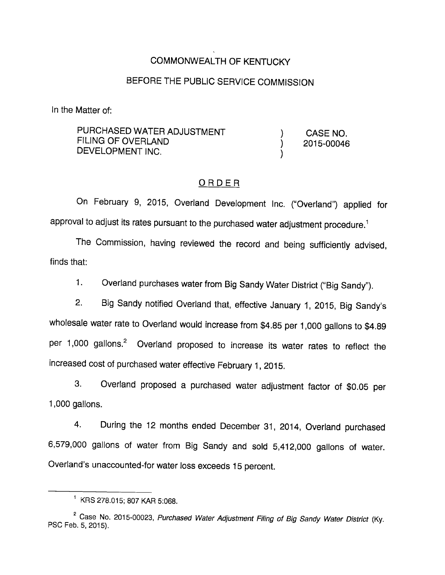### COMMONWEALTH OF KENTUCKY

#### BEFORE THE PUBLIC SERVICE COMMISSION

In the Matter of:

PURCHASED WATER ADJUSTMENT ) CASE NO.  $FLING OF OVERLAND$   $(2015-00046)$ DEVELOPMENT INC.

### ORDER

On February 9, 2015, Overland Development Inc. ("Overland") applied for approval to adjust its rates pursuant to the purchased water adjustment procedure.<sup>1</sup>

The Commission, having reviewed the record and being sufficiently advised, finds that:

1. Overland purchases water from Big Sandy Water District ("Big Sandy").

2. Big Sandy notified Overland that, effective January 1, 2015, Big Sandy's wholesale water rate to Overland would increase from \$4.85 per 1,000 gallons to \$4.89 per  $1,000$  gallons.<sup>2</sup> Overland proposed to increase its water rates to reflect the increased cost of purchased water effective February 1, 2015.

3. Overland proposed a purchased water adjustment factor of \$0.05 per 1,000 gallons.

4. During the 12 months ended December 31, 2014, Overland purchased 6,579,000 gallons of water from Big Sandy and sold 5,412,000 gallons of water. Overland's unaccounted-for water loss exceeds 15 percent.

<sup>^</sup> KRS 278.015; 807 KAR 5:068.

<sup>&</sup>lt;sup>2</sup> Case No. 2015-00023, Purchased Water Adjustment Filing of Big Sandy Water District (Kv. PSC Feb. 5, 2015).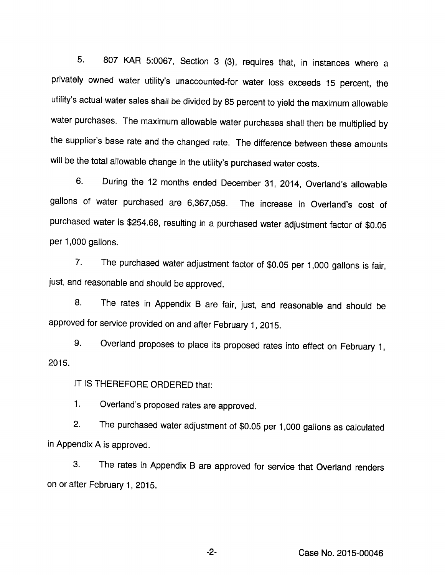5. 807 KAR 5:0067, Section 3 (3), requires that, in instances where a privately owned water utility's unaccounted-for water loss exceeds 15 percent, the utility's actual water sales shall be divided by 85 percent to yield the maximum allowable water purchases. The maximum allowable water purchases shall then be multiplied by the supplier's base rate and the changed rate. The difference between these amounts will be the total allowable change in the utility's purchased water costs.

6. During the 12 months ended December 31, 2014, Overland's allowable gallons of water purchased are 6,367,059. The increase in Overland's cost of purchased water is \$254.68, resulting in a purchased water adjustment factor of \$0.05 per 1,000 gallons.

7. The purchased water adjustment factor of \$0.05 per 1,000 gallons is fair, just, and reasonable and should be approved.

8. The rates in Appendix B are fair, just, and reasonable and should be approved for service provided on and after February 1, 2015.

9. Overland proposes to place its proposed rates into effect on February 1, 2015.

IT IS THEREFORE ORDERED that:

1. Overland's proposed rates are approved.

2. The purchased water adjustment of \$0.05 per 1,000 gallons as calculated in Appendix A is approved.

3. The rates in Appendix B are approved for service that Overland renders on or after February 1, 2015.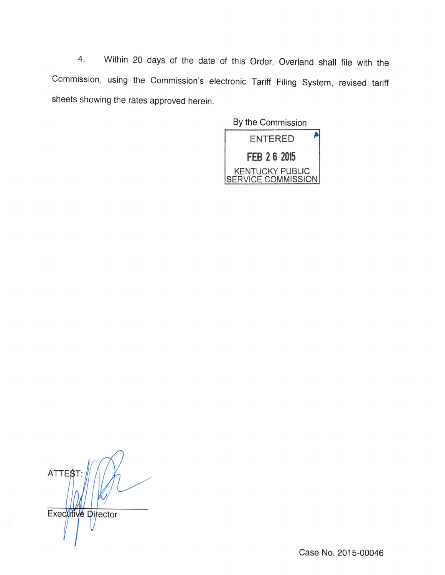4. Within 20 days of the date of this Order, Overland shall file with the Commission, using the Commission's electronic Tariff Filing System, revised tariff sheets showing the rates approved herein.

By the Commission **ENTERED** FEB 2 6 2015 KENTUCKY PUBLIC SERVICE COMMISSION

**ATTEST** Executive Director

Case No. 2015-00046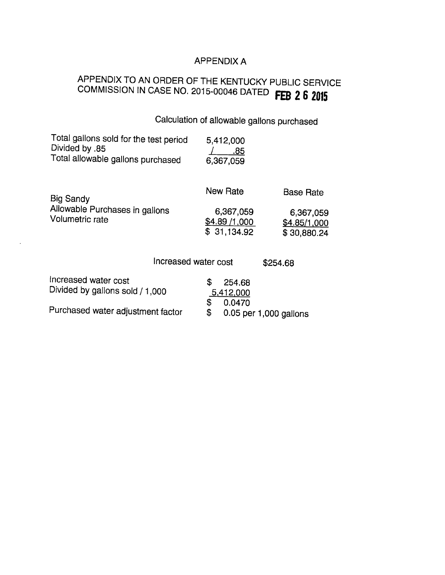## APPENDIX A

# APPENDIX TO AN ORDER OF THE KENTUCKY PUBLIC SERVICE COMMISSION IN CASE NO. 2015-00046 DATED FEB 2 6 2015

| Calculation of allowable gallons purchased                                                                                                  |                                                             |                                                              |
|---------------------------------------------------------------------------------------------------------------------------------------------|-------------------------------------------------------------|--------------------------------------------------------------|
| Total gallons sold for the test period<br>Divided by .85<br>Total allowable gallons purchased                                               | 5,412,000<br>.85<br>6,367,059                               |                                                              |
| <b>Big Sandy</b><br>Allowable Purchases in gallons<br>Volumetric rate                                                                       | <b>New Rate</b><br>6,367,059<br>\$4.89/1,000<br>\$31,134.92 | <b>Base Rate</b><br>6,367,059<br>\$4.85/1,000<br>\$30,880.24 |
| Increased water cost                                                                                                                        |                                                             | \$254.68                                                     |
| Increased water cost<br>$\mathbf{D}$ is similar and in the set of the set of $\mathbf{A}$ is a set of $\mathbf{A}$ is a set of $\mathbf{A}$ | \$<br>254.68                                                |                                                              |

| Divided by gallons sold / 1,000   | ----<br>5,412,000                  |
|-----------------------------------|------------------------------------|
| Purchased water adjustment factor | \$0.0470<br>0.05 per 1,000 gallons |

 $\sim 10^{-10}$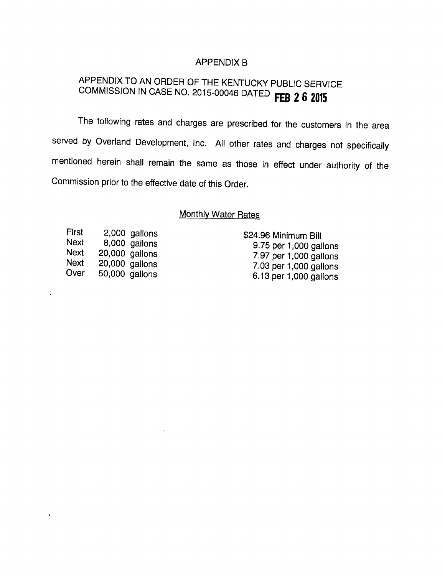#### **APPENDIX B**

## APPENDIX TO AN ORDER OF THE KENTUCKY PUBLIC SERVICE COMMISSION IN CASE NO. 2015-00046 DATED FEB 2 6 2015

The following rates and charges are prescribed for the customers in the area served by Overland Development, Inc. All other rates and charges not specifically mentioned herein shall remain the same as those in effect under authority of the Commission prior to the effective date of this Order.

## **Monthly Water Rates**

| First | 2,000 gallons  |
|-------|----------------|
| Next  | 8,000 gallons  |
| Next  | 20,000 gallons |
| Next  | 20,000 gallons |
| Over  | 50,000 gallons |

\$24.96 Minimum Bill 9.75 per 1,000 gallons 7.97 per 1,000 gallons 7.03 per 1,000 gallons 6.13 per 1,000 gallons